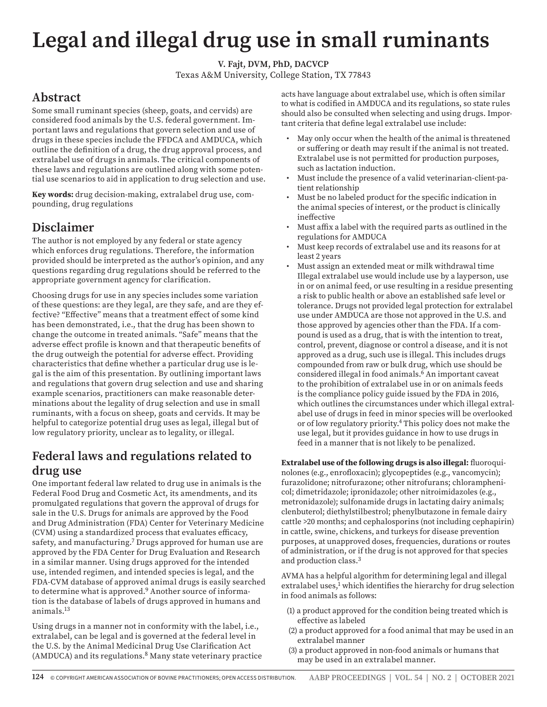# **Legal and illegal drug use in small ruminants**

**V. Fajt, DVM, PhD, DACVCP**

Texas A&M University, College Station, TX 77843

## **Abstract**

Some small ruminant species (sheep, goats, and cervids) are considered food animals by the U.S. federal government. Important laws and regulations that govern selection and use of drugs in these species include the FFDCA and AMDUCA, which outline the definition of a drug, the drug approval process, and extralabel use of drugs in animals. The critical components of these laws and regulations are outlined along with some potential use scenarios to aid in application to drug selection and use.

**Key words:** drug decision-making, extralabel drug use, compounding, drug regulations

# **Disclaimer**

The author is not employed by any federal or state agency which enforces drug regulations. Therefore, the information provided should be interpreted as the author's opinion, and any questions regarding drug regulations should be referred to the appropriate government agency for clarification.

Choosing drugs for use in any species includes some variation of these questions: are they legal, are they safe, and are they effective? "Effective" means that a treatment effect of some kind has been demonstrated, i.e., that the drug has been shown to change the outcome in treated animals. "Safe" means that the adverse effect profile is known and that therapeutic benefits of the drug outweigh the potential for adverse effect. Providing characteristics that define whether a particular drug use is legal is the aim of this presentation. By outlining important laws and regulations that govern drug selection and use and sharing example scenarios, practitioners can make reasonable determinations about the legality of drug selection and use in small ruminants, with a focus on sheep, goats and cervids. It may be helpful to categorize potential drug uses as legal, illegal but of low regulatory priority, unclear as to legality, or illegal.

## **Federal laws and regulations related to drug use**

One important federal law related to drug use in animals is the Federal Food Drug and Cosmetic Act, its amendments, and its promulgated regulations that govern the approval of drugs for sale in the U.S. Drugs for animals are approved by the Food and Drug Administration (FDA) Center for Veterinary Medicine (CVM) using a standardized process that evaluates efficacy, safety, and manufacturing.<sup>7</sup> Drugs approved for human use are approved by the FDA Center for Drug Evaluation and Research in a similar manner. Using drugs approved for the intended use, intended regimen, and intended species is legal, and the FDA-CVM database of approved animal drugs is easily searched to determine what is approved.<sup>9</sup> Another source of information is the database of labels of drugs approved in humans and animals.13

Using drugs in a manner not in conformity with the label, i.e., extralabel, can be legal and is governed at the federal level in the U.S. by the Animal Medicinal Drug Use Clarification Act (AMDUCA) and its regulations.<sup>8</sup> Many state veterinary practice acts have language about extralabel use, which is often similar to what is codified in AMDUCA and its regulations, so state rules should also be consulted when selecting and using drugs. Important criteria that define legal extralabel use include:

- May only occur when the health of the animal is threatened or suffering or death may result if the animal is not treated. Extralabel use is not permitted for production purposes, such as lactation induction.
- Must include the presence of a valid veterinarian-client-patient relationship
- Must be no labeled product for the specific indication in the animal species of interest, or the product is clinically ineffective
- Must affix a label with the required parts as outlined in the regulations for AMDUCA
- Must keep records of extralabel use and its reasons for at least 2 years
- Must assign an extended meat or milk withdrawal time Illegal extralabel use would include use by a layperson, use in or on animal feed, or use resulting in a residue presenting a risk to public health or above an established safe level or tolerance. Drugs not provided legal protection for extralabel use under AMDUCA are those not approved in the U.S. and those approved by agencies other than the FDA. If a compound is used as a drug, that is with the intention to treat, control, prevent, diagnose or control a disease, and it is not approved as a drug, such use is illegal. This includes drugs compounded from raw or bulk drug, which use should be considered illegal in food animals.6 An important caveat to the prohibition of extralabel use in or on animals feeds is the compliance policy guide issued by the FDA in 2016, which outlines the circumstances under which illegal extralabel use of drugs in feed in minor species will be overlooked or of low regulatory priority.4 This policy does not make the use legal, but it provides guidance in how to use drugs in feed in a manner that is not likely to be penalized.

**Extralabel use of the following drugs is also illegal:** fluoroquinolones (e.g., enrofloxacin); glycopeptides (e.g., vancomycin); furazolidone; nitrofurazone; other nitrofurans; chloramphenicol; dimetridazole; ipronidazole; other nitroimidazoles (e.g., metronidazole); sulfonamide drugs in lactating dairy animals; clenbuterol; diethylstilbestrol; phenylbutazone in female dairy cattle >20 months; and cephalosporins (not including cephapirin) in cattle, swine, chickens, and turkeys for disease prevention purposes, at unapproved doses, frequencies, durations or routes of administration, or if the drug is not approved for that species and production class.3

AVMA has a helpful algorithm for determining legal and illegal extralabel uses,<sup>1</sup> which identifies the hierarchy for drug selection in food animals as follows:

- (1) a product approved for the condition being treated which is effective as labeled
- (2) a product approved for a food animal that may be used in an extralabel manner
- (3) a product approved in non-food animals or humans that may be used in an extralabel manner.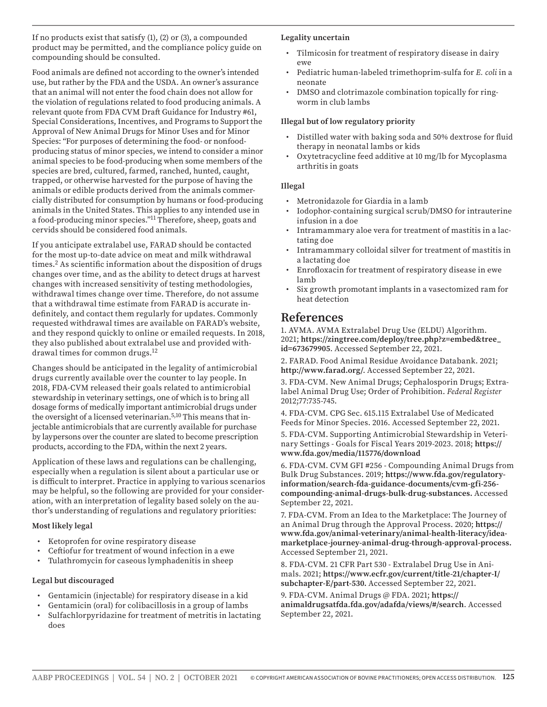If no products exist that satisfy  $(1)$ ,  $(2)$  or  $(3)$ , a compounded product may be permitted, and the compliance policy guide on compounding should be consulted.

Food animals are defined not according to the owner's intended use, but rather by the FDA and the USDA. An owner's assurance that an animal will not enter the food chain does not allow for the violation of regulations related to food producing animals. A relevant quote from FDA CVM Draft Guidance for Industry #61, Special Considerations, Incentives, and Programs to Support the Approval of New Animal Drugs for Minor Uses and for Minor Species: "For purposes of determining the food- or nonfoodproducing status of minor species, we intend to consider a minor animal species to be food-producing when some members of the species are bred, cultured, farmed, ranched, hunted, caught, trapped, or otherwise harvested for the purpose of having the animals or edible products derived from the animals commercially distributed for consumption by humans or food-producing animals in the United States. This applies to any intended use in a food-producing minor species."11 Therefore, sheep, goats and cervids should be considered food animals.

If you anticipate extralabel use, FARAD should be contacted for the most up-to-date advice on meat and milk withdrawal times.<sup>2</sup> As scientific information about the disposition of drugs changes over time, and as the ability to detect drugs at harvest changes with increased sensitivity of testing methodologies, withdrawal times change over time. Therefore, do not assume that a withdrawal time estimate from FARAD is accurate indefinitely, and contact them regularly for updates. Commonly requested withdrawal times are available on FARAD's website, and they respond quickly to online or emailed requests. In 2018, they also published about extralabel use and provided withdrawal times for common drugs.12

Changes should be anticipated in the legality of antimicrobial drugs currently available over the counter to lay people. In 2018, FDA-CVM released their goals related to antimicrobial stewardship in veterinary settings, one of which is to bring all dosage forms of medically important antimicrobial drugs under the oversight of a licensed veterinarian.<sup>5,10</sup> This means that injectable antimicrobials that are currently available for purchase by laypersons over the counter are slated to become prescription products, according to the FDA, within the next 2 years.

Application of these laws and regulations can be challenging, especially when a regulation is silent about a particular use or is difficult to interpret. Practice in applying to various scenarios may be helpful, so the following are provided for your consideration, with an interpretation of legality based solely on the author's understanding of regulations and regulatory priorities:

#### **Most likely legal**

- Ketoprofen for ovine respiratory disease
- Ceftiofur for treatment of wound infection in a ewe
- Tulathromycin for caseous lymphadenitis in sheep

#### **Legal but discouraged**

- Gentamicin (injectable) for respiratory disease in a kid
- Gentamicin (oral) for colibacillosis in a group of lambs
- Sulfachlorpyridazine for treatment of metritis in lactating does

#### **Legality uncertain**

- Tilmicosin for treatment of respiratory disease in dairy ewe
- Pediatric human-labeled trimethoprim-sulfa for *E. coli* in a neonate
- DMSO and clotrimazole combination topically for ringworm in club lambs

#### **Illegal but of low regulatory priority**

- Distilled water with baking soda and 50% dextrose for fluid therapy in neonatal lambs or kids
- Oxytetracycline feed additive at 10 mg/lb for Mycoplasma arthritis in goats

#### **Illegal**

- Metronidazole for Giardia in a lamb
- Iodophor-containing surgical scrub/DMSO for intrauterine infusion in a doe
- Intramammary aloe vera for treatment of mastitis in a lactating doe
- Intramammary colloidal silver for treatment of mastitis in a lactating doe
- Enrofloxacin for treatment of respiratory disease in ewe lamb
- Six growth promotant implants in a vasectomized ram for heat detection

### **References**

1. AVMA. AVMA Extralabel Drug Use (ELDU) Algorithm. 2021; **https://zingtree.com/deploy/tree.php?z=embed&tree\_ id=673679905**. Accessed September 22, 2021.

2. FARAD. Food Animal Residue Avoidance Databank. 2021; **http://www.farad.org/**. Accessed September 22, 2021.

3. FDA-CVM. New Animal Drugs; Cephalosporin Drugs; Extralabel Animal Drug Use; Order of Prohibition. *Federal Register* 2012;77:735-745.

4. FDA-CVM. CPG Sec. 615.115 Extralabel Use of Medicated Feeds for Minor Species. 2016. Accessed September 22, 2021.

5. FDA-CVM. Supporting Antimicrobial Stewardship in Veterinary Settings - Goals for Fiscal Years 2019-2023. 2018; **https:// www.fda.gov/media/115776/download**

6. FDA-CVM. CVM GFI #256 - Compounding Animal Drugs from Bulk Drug Substances. 2019; **https://www.fda.gov/regulatoryinformation/search-fda-guidance-documents/cvm-gfi-256 compounding-animal-drugs-bulk-drug-substances.** Accessed September 22, 2021.

7. FDA-CVM. From an Idea to the Marketplace: The Journey of an Animal Drug through the Approval Process. 2020; **https:// www.fda.gov/animal-veterinary/animal-health-literacy/ideamarketplace-journey-animal-drug-through-approval-process.** Accessed September 21, 2021.

8. FDA-CVM. 21 CFR Part 530 - Extralabel Drug Use in Animals. 2021; **https://www.ecfr.gov/current/title-21/chapter-I/ subchapter-E/part-530.** Accessed September 22, 2021.

9. FDA-CVM. Animal Drugs @ FDA. 2021; **https:// animaldrugsatfda.fda.gov/adafda/views/#/search**. Accessed September 22, 2021.